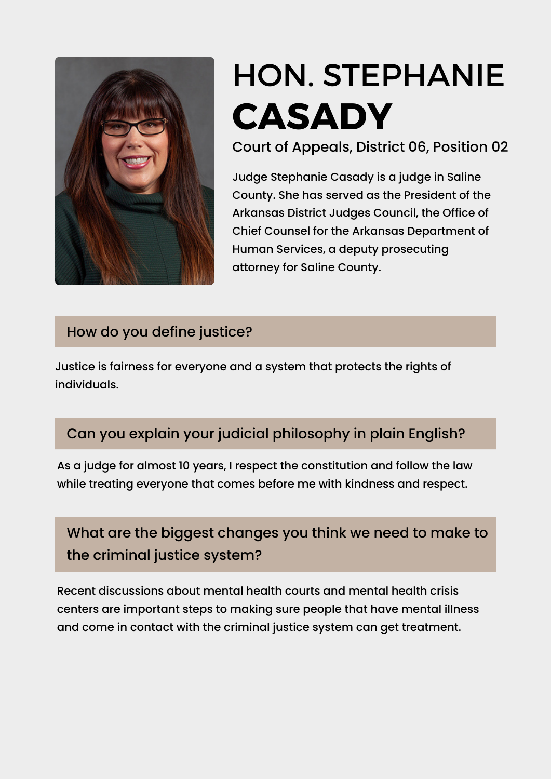

# HON. [STEPHANIE](https://www.ark.org/arelections/index.php?ac:show:cand_search=1&candid=3391) **[CASADY](https://www.ark.org/arelections/index.php?ac:show:cand_search=1&candid=3405)**

Court of Appeals, District 06, Position 02

Judge Stephanie Casady is a judge in Saline County. She has served as the President of the Arkansas District Judges Council, the Office of Chief Counsel for the Arkansas Department of Human Services, a deputy prosecuting attorney for Saline County.

#### How do you define justice?

Justice is fairness for everyone and a system that protects the rights of individuals.

### Can you explain your judicial philosophy in plain English?

As a judge for almost 10 years, I respect the constitution and follow the law while treating everyone that comes before me with kindness and respect.

# What are the biggest changes you think we need to make to the criminal justice system?

Recent discussions about mental health courts and mental health crisis centers are important steps to making sure people that have mental illness and come in contact with the criminal justice system can get treatment.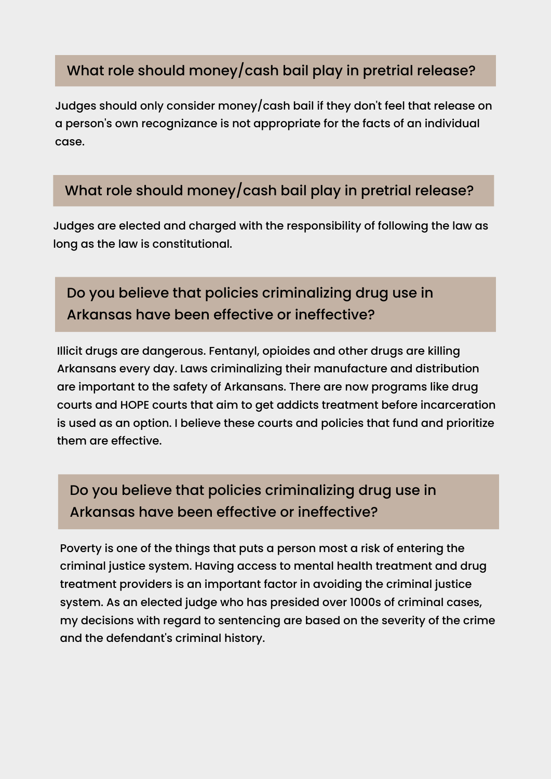#### What role should money/cash bail play in pretrial release?

Judges should only consider money/cash bail if they don't feel that release on a person's own recognizance is not appropriate for the facts of an individual case.

#### What role should money/cash bail play in pretrial release?

Judges are elected and charged with the responsibility of following the law as long as the law is constitutional.

## Do you believe that policies criminalizing drug use in Arkansas have been effective or ineffective?

Illicit drugs are dangerous. Fentanyl, opioides and other drugs are killing Arkansans every day. Laws criminalizing their manufacture and distribution are important to the safety of Arkansans. There are now programs like drug courts and HOPE courts that aim to get addicts treatment before incarceration is used as an option. I believe these courts and policies that fund and prioritize them are effective.

# Do you believe that policies criminalizing drug use in Arkansas have been effective or ineffective?

Poverty is one of the things that puts a person most a risk of entering the criminal justice system. Having access to mental health treatment and drug treatment providers is an important factor in avoiding the criminal justice system. As an elected judge who has presided over 1000s of criminal cases, my decisions with regard to sentencing are based on the severity of the crime and the defendant's criminal history.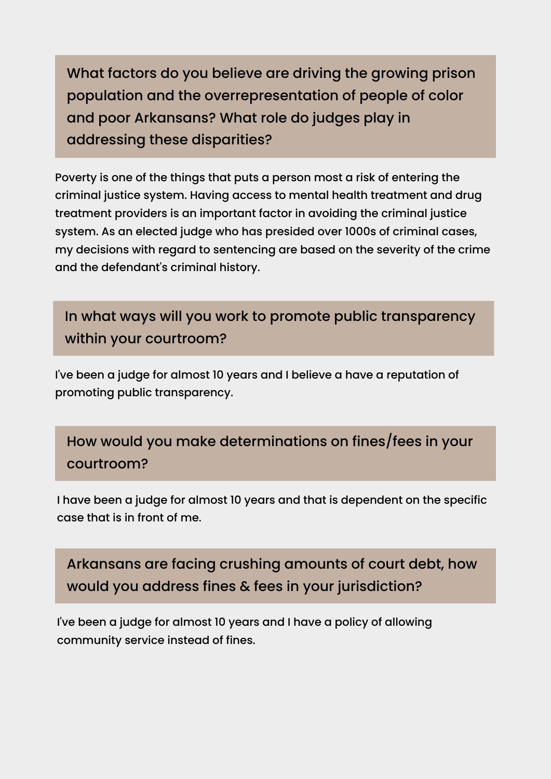What factors do you believe are driving the growing prison population and the overrepresentation of people of color and poor Arkansans? What role do judges play in addressing these disparities?

Poverty is one of the things that puts a person most a risk of entering the criminal justice system. Having access to mental health treatment and drug treatment providers is an important factor in avoiding the criminal justice system. As an elected judge who has presided over 1000s of criminal cases, my decisions with regard to sentencing are based on the severity of the crime and the defendant's criminal history.

In what ways will you work to promote public transparency within your courtroom?

I've been a judge for almost 10 years and I believe a have a reputation of promoting public transparency.

How would you make determinations on fines/fees in your courtroom?

I have been a judge for almost 10 years and that is dependent on the specific case that is in front of me.

Arkansans are facing crushing amounts of court debt, how would you address fines & fees in your jurisdiction?

I've been a judge for almost 10 years and I have a policy of allowing community service instead of fines.